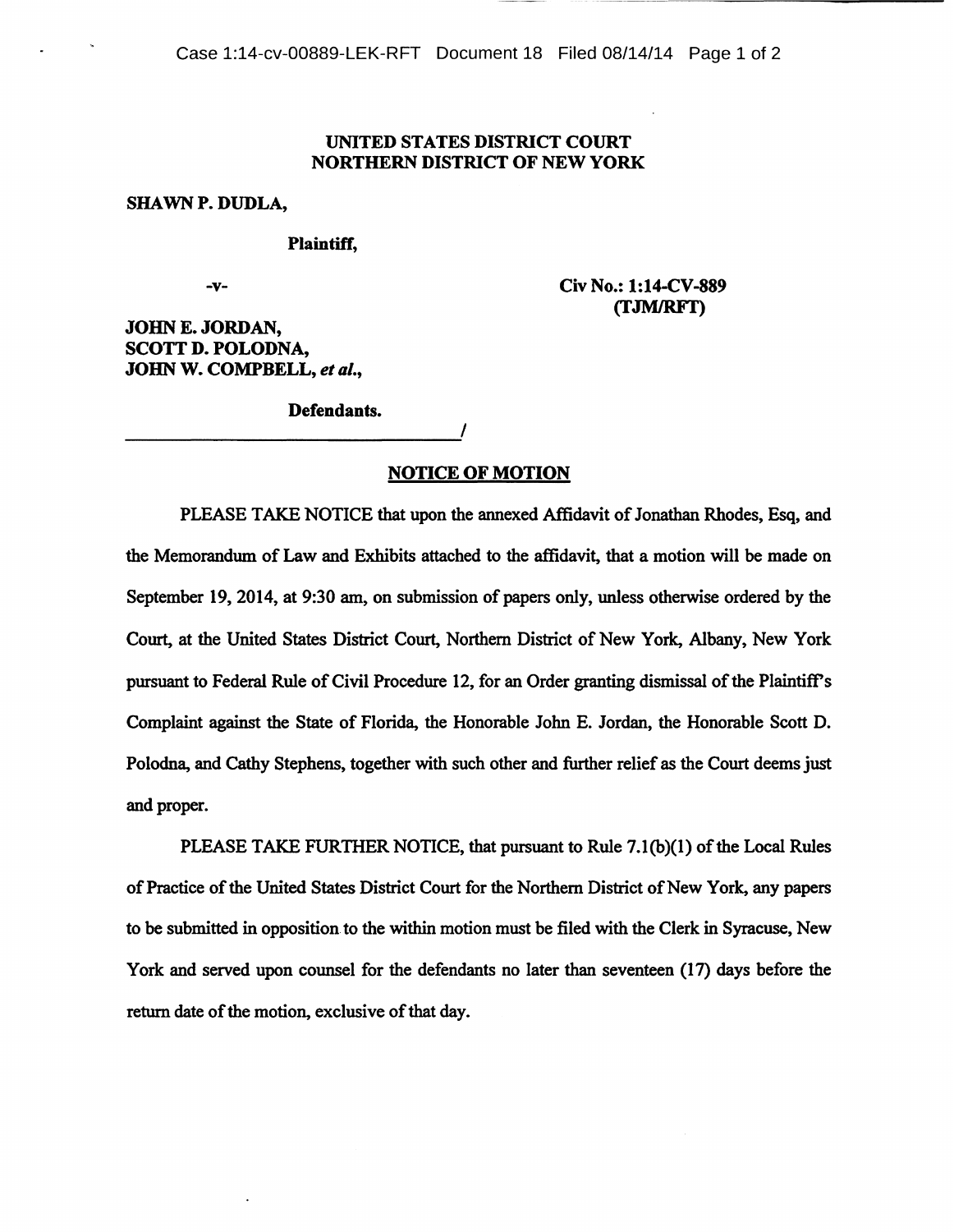## UNITED STATES DISTRICT COURT NORTHERN DISTRICT OF NEW YORK

## SHAWNP. DUDLA,

## Plaintiff,

-v-

Civ No.: 1:14-CV-889 (fJMJRFT)

JOHN E. JORDAN, SCOTT D. POLODNA, JOHN W. COMPBELL, *et al.,* 

Defendants.

## NOTICE OF MOTION

PLEASE TAKE NOTICE that upon the annexed Affidavit of Jonathan Rhodes, Esq, and the Memorandum of Law and Exhibits attached to the affidavit, that a motion will be made on September 19, 2014, at 9:30 am, on submission of papers only, unless otherwise ordered by the Court, at the United States District Court, Northern District of New York, Albany, New York pursuant to Federal Rule of Civil Procedure 12, for an Order granting dismissal of the Plaintiff's Complaint against the State of Florida, the Honorable John E. Jordan, the Honorable Scott D. Polodna, and Cathy Stephens, together with such other and further relief as the Court deems just and proper.

PLEASE TAKE FURTHER NOTICE, that pursuant to Rule 7.1(b)(1) of the Local Rules of Practice of the United States District Court for the Northern District of New York, any papers to be submitted in opposition. to the within motion must be filed with the Clerk in Syracuse, New York and served upon counsel for the defendants no later than seventeen (17) days before the return date of the motion, exclusive of that day.